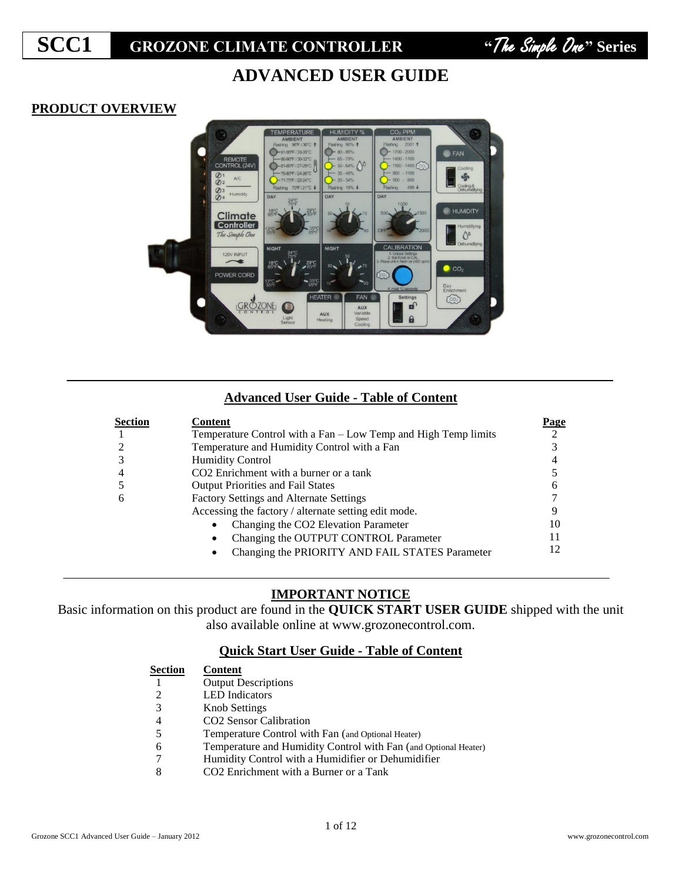**SCC1 GROZONE CLIMATE CONTROLLER "**The Simple One**" Series...** 



# **ADVANCED USER GUIDE**

## **PRODUCT OVERVIEW**



## **Advanced User Guide - Table of Content**

| <b>Section</b> | <b>Content</b>                                                 | Page |
|----------------|----------------------------------------------------------------|------|
|                | Temperature Control with a Fan - Low Temp and High Temp limits |      |
|                | Temperature and Humidity Control with a Fan                    |      |
| 3              | <b>Humidity Control</b>                                        |      |
| 4              | CO <sub>2</sub> Enrichment with a burner or a tank             |      |
|                | <b>Output Priorities and Fail States</b>                       | 6    |
| 6              | Factory Settings and Alternate Settings                        |      |
|                | Accessing the factory / alternate setting edit mode.           |      |
|                | Changing the CO2 Elevation Parameter<br>$\bullet$              | 10   |
|                | Changing the OUTPUT CONTROL Parameter<br>$\bullet$             | 11   |
|                | Changing the PRIORITY AND FAIL STATES Parameter<br>٠           | 12   |

## **IMPORTANT NOTICE**

Basic information on this product are found in the **QUICK START USER GUIDE** shipped with the unit also available online at www.grozonecontrol.com.

## **Quick Start User Guide - Table of Content**

**Section Content** Output Descriptions LED Indicators Knob Settings CO2 Sensor Calibration Temperature Control with Fan (and Optional Heater) Temperature and Humidity Control with Fan (and Optional Heater) Humidity Control with a Humidifier or Dehumidifier CO2 Enrichment with a Burner or a Tank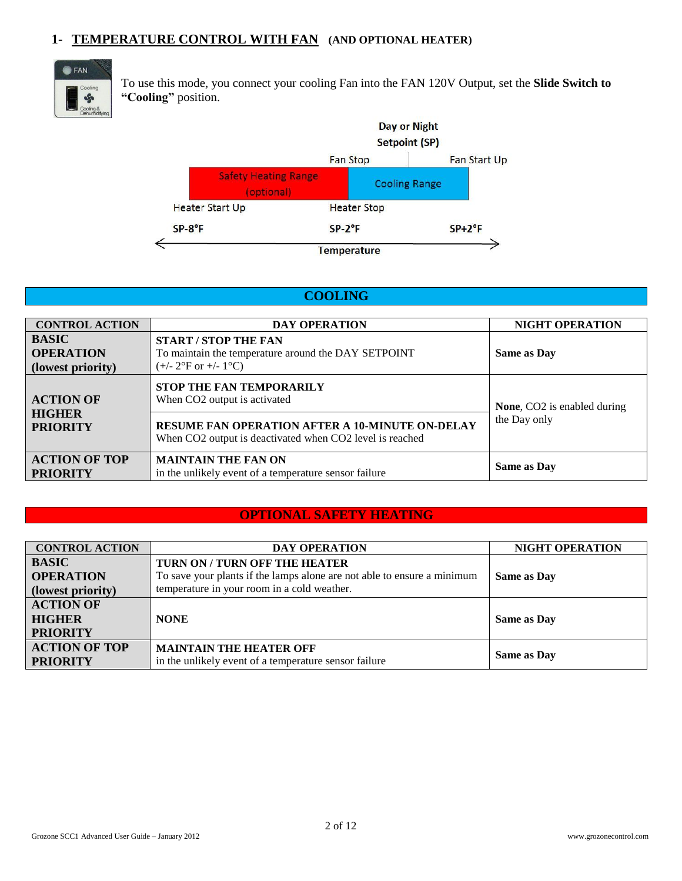## **1- TEMPERATURE CONTROL WITH FAN (AND OPTIONAL HEATER)**



To use this mode, you connect your cooling Fan into the FAN 120V Output, set the **Slide Switch to "Cooling"** position.



## **COOLING**

| <b>CONTROL ACTION</b>                                 | <b>DAY OPERATION</b>                                                                                                           | <b>NIGHT OPERATION</b>      |
|-------------------------------------------------------|--------------------------------------------------------------------------------------------------------------------------------|-----------------------------|
| <b>BASIC</b><br><b>OPERATION</b><br>(lowest priority) | <b>START / STOP THE FAN</b><br>To maintain the temperature around the DAY SETPOINT<br>$(+/- 2^{\circ}$ F or $+/- 1^{\circ}$ C) | <b>Same as Day</b>          |
| <b>ACTION OF</b>                                      | <b>STOP THE FAN TEMPORARILY</b><br>When CO2 output is activated                                                                | None, CO2 is enabled during |
| <b>HIGHER</b><br><b>PRIORITY</b>                      | <b>RESUME FAN OPERATION AFTER A 10-MINUTE ON-DELAY</b><br>When CO2 output is deactivated when CO2 level is reached             | the Day only                |
| <b>ACTION OF TOP</b><br><b>PRIORITY</b>               | <b>MAINTAIN THE FAN ON</b><br>in the unlikely event of a temperature sensor failure                                            | <b>Same as Day</b>          |

## **OPTIONAL SAFETY HEATING**

| <b>CONTROL ACTION</b>                                | <b>DAY OPERATION</b>                                                                                     | <b>NIGHT OPERATION</b> |
|------------------------------------------------------|----------------------------------------------------------------------------------------------------------|------------------------|
| <b>BASIC</b><br><b>OPERATION</b>                     | TURN ON / TURN OFF THE HEATER<br>To save your plants if the lamps alone are not able to ensure a minimum | Same as Day            |
| (lowest priority)                                    | temperature in your room in a cold weather.                                                              |                        |
| <b>ACTION OF</b><br><b>HIGHER</b><br><b>PRIORITY</b> | <b>NONE</b>                                                                                              | <b>Same as Day</b>     |
| <b>ACTION OF TOP</b><br><b>PRIORITY</b>              | <b>MAINTAIN THE HEATER OFF</b><br>in the unlikely event of a temperature sensor failure                  | <b>Same as Day</b>     |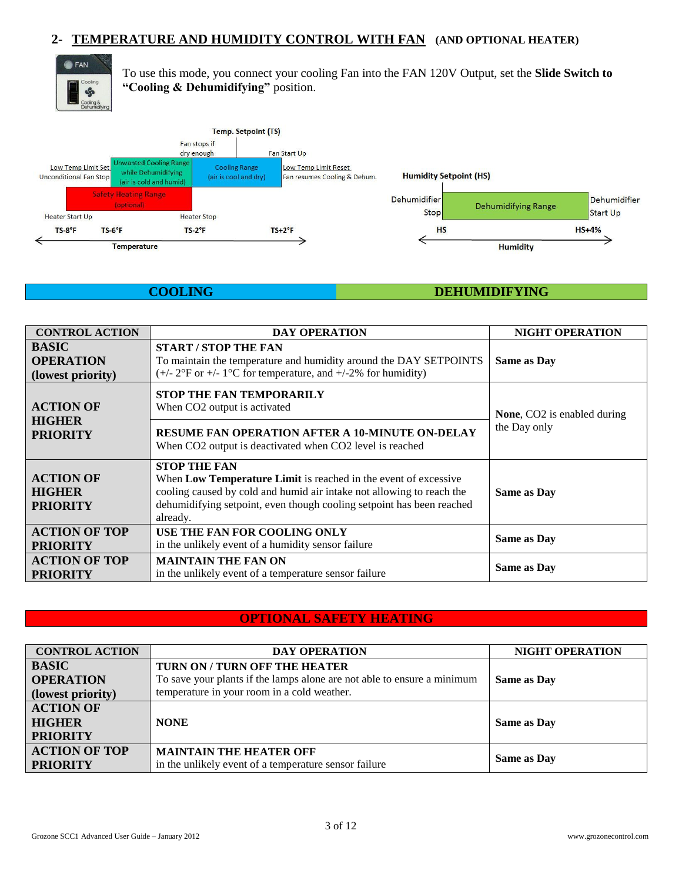## **2- TEMPERATURE AND HUMIDITY CONTROL WITH FAN (AND OPTIONAL HEATER)**



To use this mode, you connect your cooling Fan into the FAN 120V Output, set the **Slide Switch to "Cooling & Dehumidifying"** position.



## **COOLING DEHUMIDIFYING**

| <b>CONTROL ACTION</b>                                 | <b>DAY OPERATION</b>                                                                                                                                                                                                                                 | <b>NIGHT OPERATION</b>             |  |
|-------------------------------------------------------|------------------------------------------------------------------------------------------------------------------------------------------------------------------------------------------------------------------------------------------------------|------------------------------------|--|
| <b>BASIC</b><br><b>OPERATION</b><br>(lowest priority) | <b>START / STOP THE FAN</b><br>To maintain the temperature and humidity around the DAY SETPOINTS<br>$(+/- 2^{\circ}$ F or $+/- 1^{\circ}$ C for temperature, and $+/-2\%$ for humidity)                                                              | <b>Same as Day</b>                 |  |
| <b>ACTION OF</b>                                      | <b>STOP THE FAN TEMPORARILY</b><br>When CO2 output is activated                                                                                                                                                                                      | <b>None, CO2</b> is enabled during |  |
| <b>HIGHER</b><br><b>PRIORITY</b>                      | <b>RESUME FAN OPERATION AFTER A 10-MINUTE ON-DELAY</b><br>When CO <sub>2</sub> output is deactivated when CO <sub>2</sub> level is reached                                                                                                           | the Day only                       |  |
| <b>ACTION OF</b><br><b>HIGHER</b><br><b>PRIORITY</b>  | <b>STOP THE FAN</b><br>When Low Temperature Limit is reached in the event of excessive<br>cooling caused by cold and humid air intake not allowing to reach the<br>dehumidifying setpoint, even though cooling setpoint has been reached<br>already. | <b>Same as Day</b>                 |  |
| <b>ACTION OF TOP</b><br><b>PRIORITY</b>               | USE THE FAN FOR COOLING ONLY<br>in the unlikely event of a humidity sensor failure                                                                                                                                                                   | <b>Same as Day</b>                 |  |
| <b>ACTION OF TOP</b><br><b>PRIORITY</b>               | <b>MAINTAIN THE FAN ON</b><br>in the unlikely event of a temperature sensor failure                                                                                                                                                                  | <b>Same as Day</b>                 |  |

## **OPTIONAL SAFETY HEATING**

| <b>CONTROL ACTION</b> | <b>DAY OPERATION</b>                                                    | <b>NIGHT OPERATION</b> |
|-----------------------|-------------------------------------------------------------------------|------------------------|
| <b>BASIC</b>          | TURN ON / TURN OFF THE HEATER                                           |                        |
| <b>OPERATION</b>      | To save your plants if the lamps alone are not able to ensure a minimum | <b>Same as Day</b>     |
| (lowest priority)     | temperature in your room in a cold weather.                             |                        |
| <b>ACTION OF</b>      |                                                                         |                        |
| <b>HIGHER</b>         | <b>NONE</b>                                                             | <b>Same as Day</b>     |
| <b>PRIORITY</b>       |                                                                         |                        |
| <b>ACTION OF TOP</b>  | <b>MAINTAIN THE HEATER OFF</b>                                          |                        |
| <b>PRIORITY</b>       | in the unlikely event of a temperature sensor failure                   | <b>Same as Day</b>     |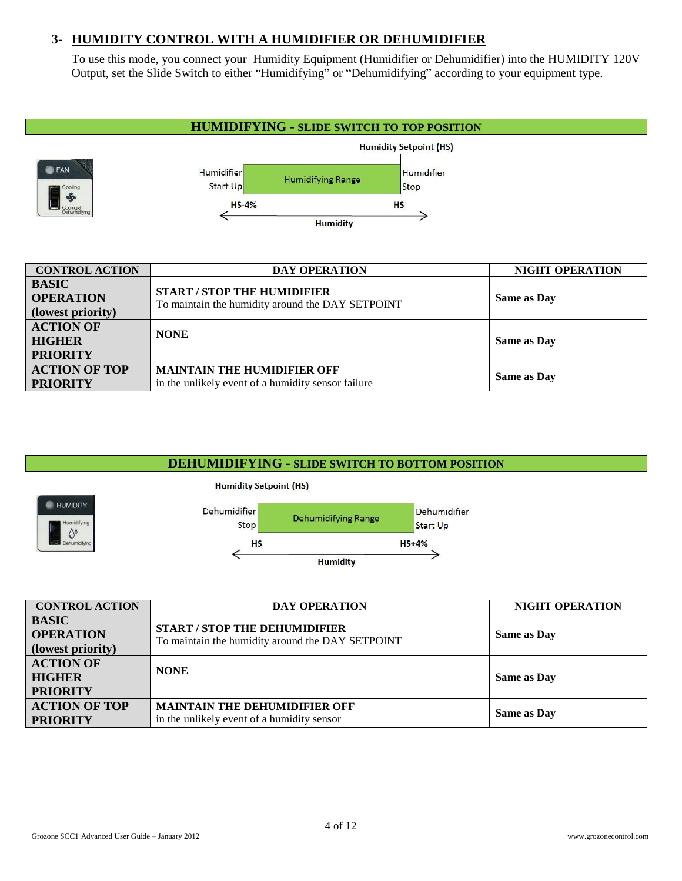## **3- HUMIDITY CONTROL WITH A HUMIDIFIER OR DEHUMIDIFIER**

To use this mode, you connect your Humidity Equipment (Humidifier or Dehumidifier) into the HUMIDITY 120V Output, set the Slide Switch to either "Humidifying" or "Dehumidifying" according to your equipment type.



## **DEHUMIDIFYING - SLIDE SWITCH TO BOTTOM POSITION**



| <b>CONTROL ACTION</b>                                 | <b>DAY OPERATION</b>                                                                     | <b>NIGHT OPERATION</b> |
|-------------------------------------------------------|------------------------------------------------------------------------------------------|------------------------|
| <b>BASIC</b><br><b>OPERATION</b><br>(lowest priority) | <b>START / STOP THE DEHUMIDIFIER</b><br>To maintain the humidity around the DAY SETPOINT | <b>Same as Day</b>     |
| <b>ACTION OF</b><br><b>HIGHER</b><br><b>PRIORITY</b>  | <b>NONE</b>                                                                              | Same as Day            |
| <b>ACTION OF TOP</b><br><b>PRIORITY</b>               | <b>MAINTAIN THE DEHUMIDIFIER OFF</b><br>in the unlikely event of a humidity sensor       | <b>Same as Day</b>     |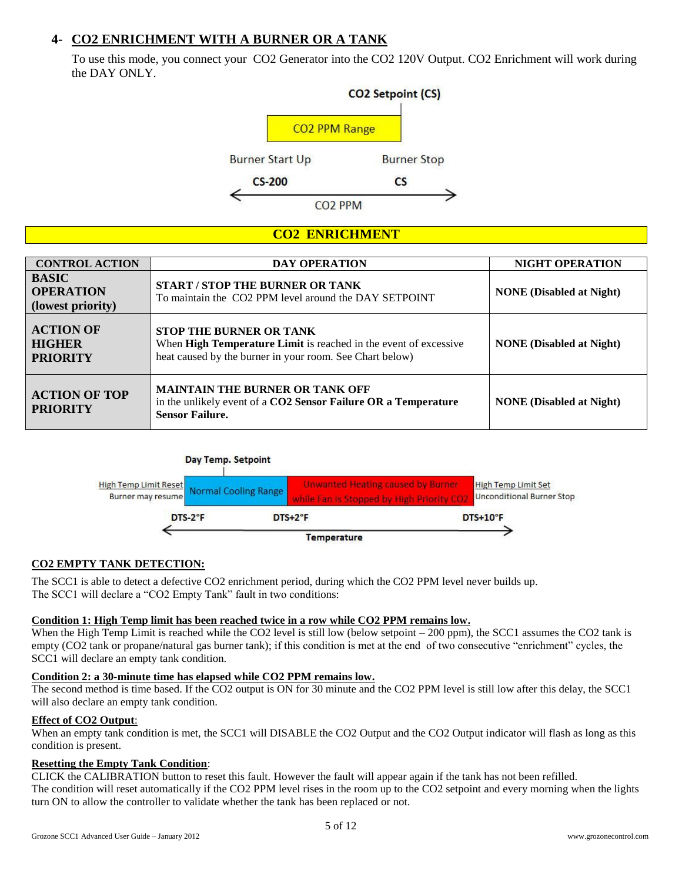## **4- CO2 ENRICHMENT WITH A BURNER OR A TANK**

To use this mode, you connect your CO2 Generator into the CO2 120V Output. CO2 Enrichment will work during the DAY ONLY.



## **CO2 ENRICHMENT**

| <b>CONTROL ACTION</b>                                 | <b>DAY OPERATION</b>                                                                                                                                           | <b>NIGHT OPERATION</b>          |
|-------------------------------------------------------|----------------------------------------------------------------------------------------------------------------------------------------------------------------|---------------------------------|
| <b>BASIC</b><br><b>OPERATION</b><br>(lowest priority) | <b>START/STOP THE BURNER OR TANK</b><br>To maintain the CO2 PPM level around the DAY SETPOINT                                                                  | <b>NONE</b> (Disabled at Night) |
| <b>ACTION OF</b><br><b>HIGHER</b><br><b>PRIORITY</b>  | <b>STOP THE BURNER OR TANK</b><br>When High Temperature Limit is reached in the event of excessive<br>heat caused by the burner in your room. See Chart below) | <b>NONE</b> (Disabled at Night) |
| <b>ACTION OF TOP</b><br><b>PRIORITY</b>               | <b>MAINTAIN THE BURNER OR TANK OFF</b><br>in the unlikely event of a CO2 Sensor Failure OR a Temperature<br><b>Sensor Failure.</b>                             | <b>NONE</b> (Disabled at Night) |

### Day Temp. Setpoint



### **CO2 EMPTY TANK DETECTION:**

The SCC1 is able to detect a defective CO2 enrichment period, during which the CO2 PPM level never builds up. The SCC1 will declare a "CO2 Empty Tank" fault in two conditions:

#### **Condition 1: High Temp limit has been reached twice in a row while CO2 PPM remains low.**

When the High Temp Limit is reached while the CO2 level is still low (below setpoint – 200 ppm), the SCC1 assumes the CO2 tank is empty (CO2 tank or propane/natural gas burner tank); if this condition is met at the end of two consecutive "enrichment" cycles, the SCC1 will declare an empty tank condition.

#### **Condition 2: a 30-minute time has elapsed while CO2 PPM remains low.**

The second method is time based. If the CO2 output is ON for 30 minute and the CO2 PPM level is still low after this delay, the SCC1 will also declare an empty tank condition.

### **Effect of CO2 Output**:

When an empty tank condition is met, the SCC1 will DISABLE the CO2 Output and the CO2 Output indicator will flash as long as this condition is present.

### **Resetting the Empty Tank Condition**:

CLICK the CALIBRATION button to reset this fault. However the fault will appear again if the tank has not been refilled. The condition will reset automatically if the CO2 PPM level rises in the room up to the CO2 setpoint and every morning when the lights turn ON to allow the controller to validate whether the tank has been replaced or not.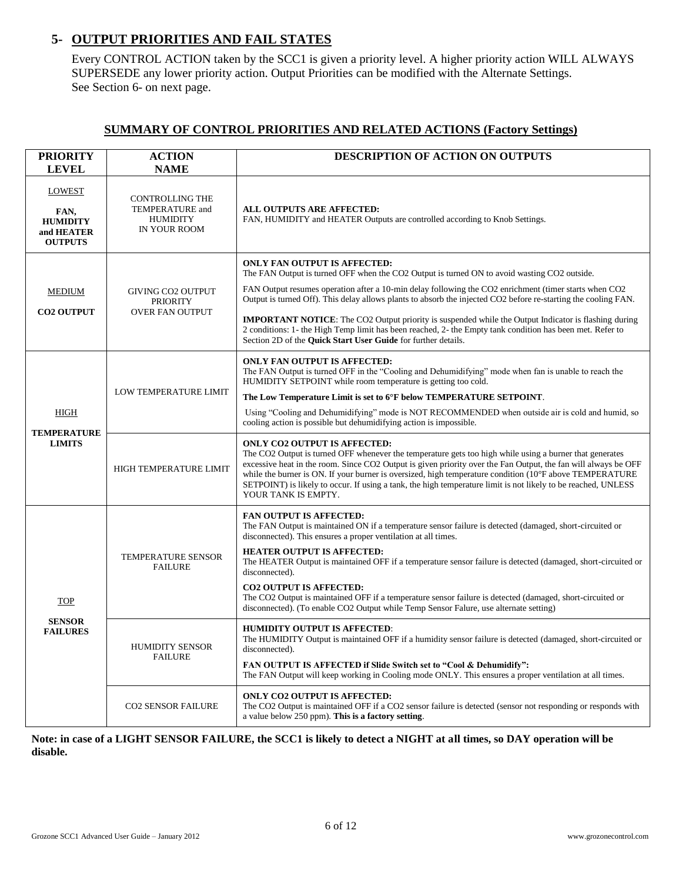## **5- OUTPUT PRIORITIES AND FAIL STATES**

Every CONTROL ACTION taken by the SCC1 is given a priority level. A higher priority action WILL ALWAYS SUPERSEDE any lower priority action. Output Priorities can be modified with the Alternate Settings. See Section 6- on next page.

### **SUMMARY OF CONTROL PRIORITIES AND RELATED ACTIONS (Factory Settings)**

| <b>PRIORITY</b><br><b>LEVEL</b>                                          | <b>ACTION</b><br><b>NAME</b>                                                 | <b>DESCRIPTION OF ACTION ON OUTPUTS</b>                                                                                                                                                                                                                                                                                                                                                                                                                                                                                                                                                                                                                           |
|--------------------------------------------------------------------------|------------------------------------------------------------------------------|-------------------------------------------------------------------------------------------------------------------------------------------------------------------------------------------------------------------------------------------------------------------------------------------------------------------------------------------------------------------------------------------------------------------------------------------------------------------------------------------------------------------------------------------------------------------------------------------------------------------------------------------------------------------|
| <b>LOWEST</b><br>FAN,<br><b>HUMIDITY</b><br>and HEATER<br><b>OUTPUTS</b> | <b>CONTROLLING THE</b><br>TEMPERATURE and<br><b>HUMIDITY</b><br>IN YOUR ROOM | ALL OUTPUTS ARE AFFECTED:<br>FAN, HUMIDITY and HEATER Outputs are controlled according to Knob Settings.                                                                                                                                                                                                                                                                                                                                                                                                                                                                                                                                                          |
| <b>MEDIUM</b><br><b>CO2 OUTPUT</b>                                       | <b>GIVING CO2 OUTPUT</b><br><b>PRIORITY</b><br>OVER FAN OUTPUT               | <b>ONLY FAN OUTPUT IS AFFECTED:</b><br>The FAN Output is turned OFF when the CO2 Output is turned ON to avoid wasting CO2 outside.<br>FAN Output resumes operation after a 10-min delay following the CO2 enrichment (timer starts when CO2<br>Output is turned Off). This delay allows plants to absorb the injected CO2 before re-starting the cooling FAN.<br><b>IMPORTANT NOTICE:</b> The CO2 Output priority is suspended while the Output Indicator is flashing during<br>2 conditions: 1- the High Temp limit has been reached, 2- the Empty tank condition has been met. Refer to<br>Section 2D of the <b>Quick Start User Guide</b> for further details. |
| HIGH                                                                     | <b>LOW TEMPERATURE LIMIT</b>                                                 | <b>ONLY FAN OUTPUT IS AFFECTED:</b><br>The FAN Output is turned OFF in the "Cooling and Dehumidifying" mode when fan is unable to reach the<br>HUMIDITY SETPOINT while room temperature is getting too cold.<br>The Low Temperature Limit is set to 6°F below TEMPERATURE SETPOINT.<br>Using "Cooling and Dehumidifying" mode is NOT RECOMMENDED when outside air is cold and humid, so<br>cooling action is possible but dehumidifying action is impossible.                                                                                                                                                                                                     |
| <b>TEMPERATURE</b><br><b>LIMITS</b>                                      | HIGH TEMPERATURE LIMIT                                                       | <b>ONLY CO2 OUTPUT IS AFFECTED:</b><br>The CO2 Output is turned OFF whenever the temperature gets too high while using a burner that generates<br>excessive heat in the room. Since CO2 Output is given priority over the Fan Output, the fan will always be OFF<br>while the burner is ON. If your burner is oversized, high temperature condition $(10^{\circ}F$ above TEMPERATURE<br>SETPOINT) is likely to occur. If using a tank, the high temperature limit is not likely to be reached, UNLESS<br>YOUR TANK IS EMPTY.                                                                                                                                      |
| <b>TOP</b>                                                               | TEMPERATURE SENSOR<br><b>FAILURE</b>                                         | <b>FAN OUTPUT IS AFFECTED:</b><br>The FAN Output is maintained ON if a temperature sensor failure is detected (damaged, short-circuited or<br>disconnected). This ensures a proper ventilation at all times.<br><b>HEATER OUTPUT IS AFFECTED:</b><br>The HEATER Output is maintained OFF if a temperature sensor failure is detected (damaged, short-circuited or<br>disconnected).<br><b>CO2 OUTPUT IS AFFECTED:</b><br>The CO2 Output is maintained OFF if a temperature sensor failure is detected (damaged, short-circuited or<br>disconnected). (To enable CO2 Output while Temp Sensor Falure, use alternate setting)                                       |
| <b>SENSOR</b><br><b>FAILURES</b>                                         | <b>HUMIDITY SENSOR</b><br><b>FAILURE</b>                                     | <b>HUMIDITY OUTPUT IS AFFECTED:</b><br>The HUMIDITY Output is maintained OFF if a humidity sensor failure is detected (damaged, short-circuited or<br>disconnected).<br>FAN OUTPUT IS AFFECTED if Slide Switch set to "Cool & Dehumidify":<br>The FAN Output will keep working in Cooling mode ONLY. This ensures a proper ventilation at all times.                                                                                                                                                                                                                                                                                                              |
|                                                                          | <b>CO2 SENSOR FAILURE</b>                                                    | <b>ONLY CO2 OUTPUT IS AFFECTED:</b><br>The CO2 Output is maintained OFF if a CO2 sensor failure is detected (sensor not responding or responds with<br>a value below 250 ppm). This is a factory setting.                                                                                                                                                                                                                                                                                                                                                                                                                                                         |

**Note: in case of a LIGHT SENSOR FAILURE, the SCC1 is likely to detect a NIGHT at all times, so DAY operation will be disable.**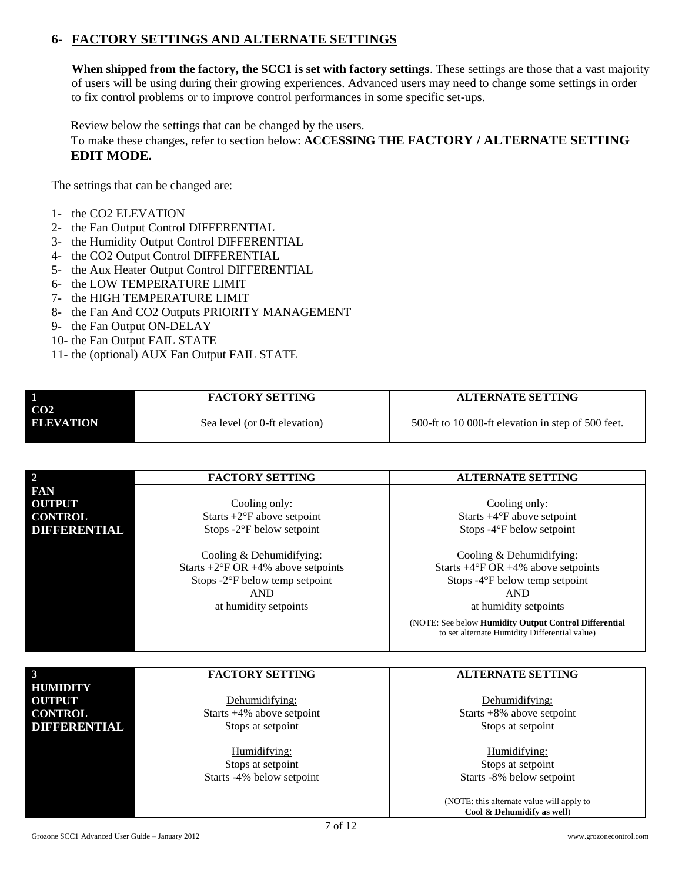## **6- FACTORY SETTINGS AND ALTERNATE SETTINGS**

**When shipped from the factory, the SCC1 is set with factory settings**. These settings are those that a vast majority of users will be using during their growing experiences. Advanced users may need to change some settings in order to fix control problems or to improve control performances in some specific set-ups.

Review below the settings that can be changed by the users.

To make these changes, refer to section below: **ACCESSING THE FACTORY / ALTERNATE SETTING EDIT MODE.**

The settings that can be changed are:

- 1- the CO2 ELEVATION
- 2- the Fan Output Control DIFFERENTIAL
- 3- the Humidity Output Control DIFFERENTIAL
- 4- the CO2 Output Control DIFFERENTIAL
- 5- the Aux Heater Output Control DIFFERENTIAL
- 6- the LOW TEMPERATURE LIMIT
- 7- the HIGH TEMPERATURE LIMIT
- 8- the Fan And CO2 Outputs PRIORITY MANAGEMENT
- 9- the Fan Output ON-DELAY
- 10- the Fan Output FAIL STATE
- 11- the (optional) AUX Fan Output FAIL STATE

|                                     | <b>FACTORY SETTING</b>        | <b>ALTERNATE SETTING</b>                           |
|-------------------------------------|-------------------------------|----------------------------------------------------|
| CO <sub>2</sub><br><b>ELEVATION</b> | Sea level (or 0-ft elevation) | 500-ft to 10 000-ft elevation in step of 500 feet. |

| $\overline{2}$ | <b>FACTORY SETTING</b>                        | <b>ALTERNATE SETTING</b>                                                                               |
|----------------|-----------------------------------------------|--------------------------------------------------------------------------------------------------------|
| <b>FAN</b>     |                                               |                                                                                                        |
| <b>OUTPUT</b>  | Cooling only:                                 | Cooling only:                                                                                          |
| <b>CONTROL</b> | Starts $+2$ <sup>o</sup> F above setpoint     | Starts $+4^{\circ}F$ above setpoint                                                                    |
| DIFFERENTIAL   | Stops $-2$ <sup>o</sup> F below setpoint      | Stops -4°F below setpoint                                                                              |
|                |                                               |                                                                                                        |
|                | Cooling & Dehumidifying:                      | Cooling $&$ Dehumidifying:                                                                             |
|                | Starts +2°F OR +4% above setpoints            | Starts $+4^{\circ}$ F OR $+4\%$ above setpoints                                                        |
|                | Stops $-2$ <sup>o</sup> F below temp setpoint | Stops -4°F below temp setpoint                                                                         |
|                | <b>AND</b>                                    | <b>AND</b>                                                                                             |
|                | at humidity setpoints                         | at humidity setpoints                                                                                  |
|                |                                               | (NOTE: See below Humidity Output Control Differential<br>to set alternate Humidity Differential value) |

| 3                   | <b>FACTORY SETTING</b>       | <b>ALTERNATE SETTING</b>                  |
|---------------------|------------------------------|-------------------------------------------|
| <b>HUMIDITY</b>     |                              |                                           |
| <b>OUTPUT</b>       | Dehumidifying:               | Dehumidifying:                            |
| <b>CONTROL</b>      | Starts $+4\%$ above setpoint | Starts $+8\%$ above setpoint              |
| <b>DIFFERENTIAL</b> | Stops at setpoint            | Stops at setpoint                         |
|                     |                              |                                           |
|                     | Humidifying:                 | Humidifying:                              |
|                     | Stops at setpoint            | Stops at setpoint                         |
|                     | Starts -4% below setpoint    | Starts -8% below setpoint                 |
|                     |                              |                                           |
|                     |                              | (NOTE: this alternate value will apply to |
|                     |                              | Cool & Dehumidify as well)                |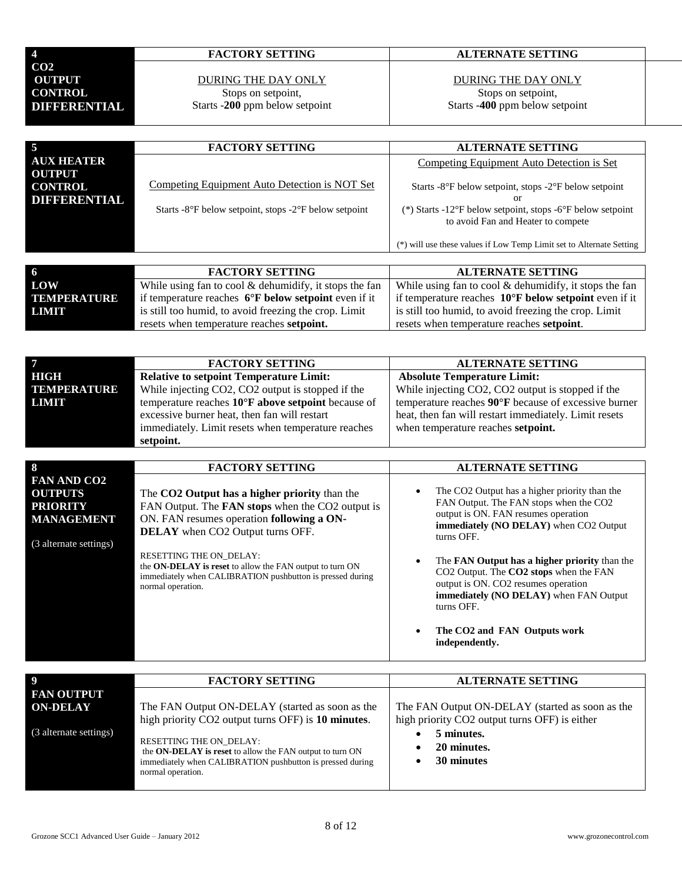| 4              |                    |
|----------------|--------------------|
| CO2            |                    |
| OUTPUT         |                    |
| <b>CONTROL</b> |                    |
|                | DI 1990R DAVI VEND |

## DURING THE DAY ONLY Stops on setpoint,

Starts -**200** ppm below setpoint

## **4 FACTORY SETTING ALTERNATE SETTING**

## DURING THE DAY ONLY Stops on setpoint,

Starts -**400** ppm below setpoint

| $\overline{5}$                                  | <b>FACTORY SETTING</b>                                                                                                     | <b>ALTERNATE SETTING</b>                                                                                                                                                                                                                |
|-------------------------------------------------|----------------------------------------------------------------------------------------------------------------------------|-----------------------------------------------------------------------------------------------------------------------------------------------------------------------------------------------------------------------------------------|
| <b>AUX HEATER</b>                               |                                                                                                                            | Competing Equipment Auto Detection is Set                                                                                                                                                                                               |
| <b>OUTPUT</b><br><b>CONTROL</b><br>DIFFERENTIAL | Competing Equipment Auto Detection is NOT Set<br>Starts -8 $\degree$ F below setpoint, stops -2 $\degree$ F below setpoint | Starts -8°F below setpoint, stops -2°F below setpoint<br>or<br>(*) Starts -12°F below setpoint, stops -6°F below setpoint<br>to avoid Fan and Heater to compete<br>(*) will use these values if Low Temp Limit set to Alternate Setting |

|             | <b>FACTORY SETTING</b>                                                | <b>ALTERNATE SETTING</b>                                               |
|-------------|-----------------------------------------------------------------------|------------------------------------------------------------------------|
| LOW         | While using fan to cool $&$ dehumidify, it stops the fan              | While using fan to cool $\&$ dehumidify, it stops the fan              |
| TEMPERATURE | if temperature reaches $6^{\circ}$ <b>F</b> below setpoint even if it | if temperature reaches $10^{\circ}$ <b>F</b> below setpoint even if it |
| LIMIT       | is still too humid, to avoid freezing the crop. Limit                 | is still too humid, to avoid freezing the crop. Limit                  |
|             | resets when temperature reaches <b>setpoint.</b>                      | resets when temperature reaches <b>setpoint</b> .                      |

|             | <b>FACTORY SETTING</b>                             | <b>ALTERNATE SETTING</b>                              |
|-------------|----------------------------------------------------|-------------------------------------------------------|
| HIGH        | <b>Relative to setpoint Temperature Limit:</b>     | <b>Absolute Temperature Limit:</b>                    |
| TEMPERATURE | While injecting CO2, CO2 output is stopped if the  | While injecting CO2, CO2 output is stopped if the     |
| LIMIT       | temperature reaches 10°F above setpoint because of | temperature reaches 90°F because of excessive burner  |
|             | excessive burner heat, then fan will restart       | heat, then fan will restart immediately. Limit resets |
|             | immediately. Limit resets when temperature reaches | when temperature reaches <b>setpoint.</b>             |
|             | setpoint.                                          |                                                       |

| 8                                                                                                      | <b>FACTORY SETTING</b>                                                                                                                                                                           | <b>ALTERNATE SETTING</b>                                                                                                                                                                                                                                                  |
|--------------------------------------------------------------------------------------------------------|--------------------------------------------------------------------------------------------------------------------------------------------------------------------------------------------------|---------------------------------------------------------------------------------------------------------------------------------------------------------------------------------------------------------------------------------------------------------------------------|
| <b>FAN AND CO2</b><br><b>OUTPUTS</b><br><b>PRIORITY</b><br><b>MANAGEMENT</b><br>(3 alternate settings) | The CO2 Output has a higher priority than the<br>FAN Output. The <b>FAN stops</b> when the CO2 output is<br>ON. FAN resumes operation following a ON-<br><b>DELAY</b> when CO2 Output turns OFF. | The CO2 Output has a higher priority than the<br>$\bullet$<br>FAN Output. The FAN stops when the CO2<br>output is ON. FAN resumes operation<br><b>immediately (NO DELAY)</b> when CO2 Output<br>turns OFF.                                                                |
|                                                                                                        | <b>RESETTING THE ON DELAY:</b><br>the ON-DELAY is reset to allow the FAN output to turn ON<br>immediately when CALIBRATION pushbutton is pressed during<br>normal operation.                     | The FAN Output has a higher priority than the<br>$\bullet$<br>CO2 Output. The CO2 stops when the FAN<br>output is ON. CO2 resumes operation<br><b>immediately (NO DELAY)</b> when FAN Output<br>turns OFF.<br>The CO2 and FAN Outputs work<br>$\bullet$<br>independently. |

|                                                                | <b>FACTORY SETTING</b>                                                                                                                                                                                                                                                                | <b>ALTERNATE SETTING</b>                                                                                                                    |
|----------------------------------------------------------------|---------------------------------------------------------------------------------------------------------------------------------------------------------------------------------------------------------------------------------------------------------------------------------------|---------------------------------------------------------------------------------------------------------------------------------------------|
| <b>FAN OUTPUT</b><br><b>ON-DELAY</b><br>(3 alternate settings) | The FAN Output ON-DELAY (started as soon as the<br>high priority CO2 output turns OFF) is 10 minutes.<br><b>RESETTING THE ON DELAY:</b><br>the ON-DELAY is reset to allow the FAN output to turn ON<br>immediately when CALIBRATION pushbutton is pressed during<br>normal operation. | The FAN Output ON-DELAY (started as soon as the<br>high priority CO2 output turns OFF) is either<br>5 minutes.<br>20 minutes.<br>30 minutes |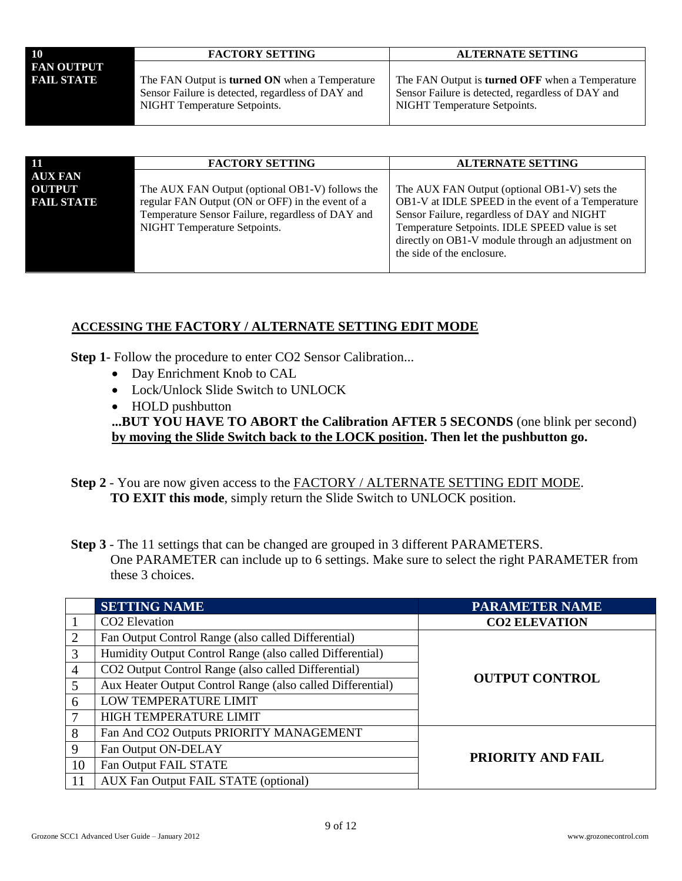| 10                | <b>FACTORY SETTING</b>                                                                                                                     | <b>ALTERNATE SETTING</b>                                                                                                                    |
|-------------------|--------------------------------------------------------------------------------------------------------------------------------------------|---------------------------------------------------------------------------------------------------------------------------------------------|
| <b>FAN OUTPUT</b> |                                                                                                                                            |                                                                                                                                             |
| <b>FAIL STATE</b> | The FAN Output is <b>turned ON</b> when a Temperature<br>Sensor Failure is detected, regardless of DAY and<br>NIGHT Temperature Setpoints. | The FAN Output is <b>turned OFF</b> when a Temperature<br>Sensor Failure is detected, regardless of DAY and<br>NIGHT Temperature Setpoints. |

| -11                                                  | <b>FACTORY SETTING</b>                                                                                                                                                                   | <b>ALTERNATE SETTING</b>                                                                                                                                                                                                                                |
|------------------------------------------------------|------------------------------------------------------------------------------------------------------------------------------------------------------------------------------------------|---------------------------------------------------------------------------------------------------------------------------------------------------------------------------------------------------------------------------------------------------------|
| <b>AUX FAN</b><br><b>OUTPUT</b><br><b>FAIL STATE</b> | The AUX FAN Output (optional OB1-V) follows the<br>regular FAN Output (ON or OFF) in the event of a<br>Temperature Sensor Failure, regardless of DAY and<br>NIGHT Temperature Setpoints. | The AUX FAN Output (optional OB1-V) sets the<br>OB1-V at IDLE SPEED in the event of a Temperature<br>Sensor Failure, regardless of DAY and NIGHT<br>Temperature Setpoints. IDLE SPEED value is set<br>directly on OB1-V module through an adjustment on |
|                                                      |                                                                                                                                                                                          | the side of the enclosure.                                                                                                                                                                                                                              |

## **ACCESSING THE FACTORY / ALTERNATE SETTING EDIT MODE**

**Step 1**- Follow the procedure to enter CO2 Sensor Calibration...

- Day Enrichment Knob to CAL
- Lock/Unlock Slide Switch to UNLOCK
- HOLD pushbutton **...BUT YOU HAVE TO ABORT the Calibration AFTER 5 SECONDS** (one blink per second) **by moving the Slide Switch back to the LOCK position. Then let the pushbutton go.**
- **Step 2** You are now given access to the FACTORY / ALTERNATE SETTING EDIT MODE. **TO EXIT this mode**, simply return the Slide Switch to UNLOCK position.
- **Step 3** The 11 settings that can be changed are grouped in 3 different PARAMETERS. One PARAMETER can include up to 6 settings. Make sure to select the right PARAMETER from these 3 choices.

|    | <b>SETTING NAME</b>                                        | <b>PARAMETER NAME</b> |  |
|----|------------------------------------------------------------|-----------------------|--|
|    | CO <sub>2</sub> Elevation                                  | <b>CO2 ELEVATION</b>  |  |
| 2  | Fan Output Control Range (also called Differential)        |                       |  |
| 3  | Humidity Output Control Range (also called Differential)   |                       |  |
| 4  | CO2 Output Control Range (also called Differential)        |                       |  |
| 5  | Aux Heater Output Control Range (also called Differential) | <b>OUTPUT CONTROL</b> |  |
| 6  | LOW TEMPERATURE LIMIT                                      |                       |  |
| 7  | HIGH TEMPERATURE LIMIT                                     |                       |  |
| 8  | Fan And CO2 Outputs PRIORITY MANAGEMENT                    |                       |  |
| 9  | Fan Output ON-DELAY                                        |                       |  |
| 10 | Fan Output FAIL STATE                                      | PRIORITY AND FAIL     |  |
| 11 | <b>AUX Fan Output FAIL STATE (optional)</b>                |                       |  |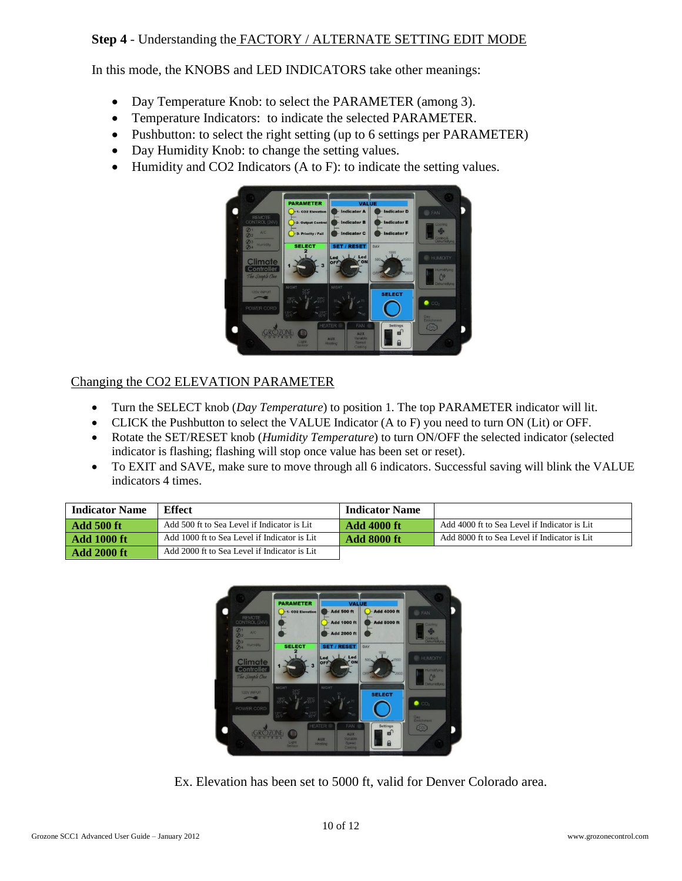## **Step 4** - Understanding the FACTORY / ALTERNATE SETTING EDIT MODE

In this mode, the KNOBS and LED INDICATORS take other meanings:

- Day Temperature Knob: to select the PARAMETER (among 3).
- Temperature Indicators: to indicate the selected PARAMETER.
- Pushbutton: to select the right setting (up to 6 settings per PARAMETER)
- Day Humidity Knob: to change the setting values.
- Humidity and CO2 Indicators (A to F): to indicate the setting values.



## Changing the CO2 ELEVATION PARAMETER

- Turn the SELECT knob (*Day Temperature*) to position 1. The top PARAMETER indicator will lit.
- CLICK the Pushbutton to select the VALUE Indicator (A to F) you need to turn ON (Lit) or OFF.
- Rotate the SET/RESET knob (*Humidity Temperature*) to turn ON/OFF the selected indicator (selected indicator is flashing; flashing will stop once value has been set or reset).
- To EXIT and SAVE, make sure to move through all 6 indicators. Successful saving will blink the VALUE indicators 4 times.

| <b>Indicator Name</b> | <b>Effect</b>                                | <b>Indicator Name</b> |                                               |
|-----------------------|----------------------------------------------|-----------------------|-----------------------------------------------|
| <b>Add 500 ft</b>     | Add 500 ft to Sea Level if Indicator is Lit  | - Add 4000 ft         | Add 4000 ft to Sea Level if Indicator is Lit. |
| <b>Add 1000 ft</b>    | Add 1000 ft to Sea Level if Indicator is Lit | Add 8000 ft           | Add 8000 ft to Sea Level if Indicator is Lit. |
| <b>Add 2000 ft</b>    | Add 2000 ft to Sea Level if Indicator is Lit |                       |                                               |



Ex. Elevation has been set to 5000 ft, valid for Denver Colorado area.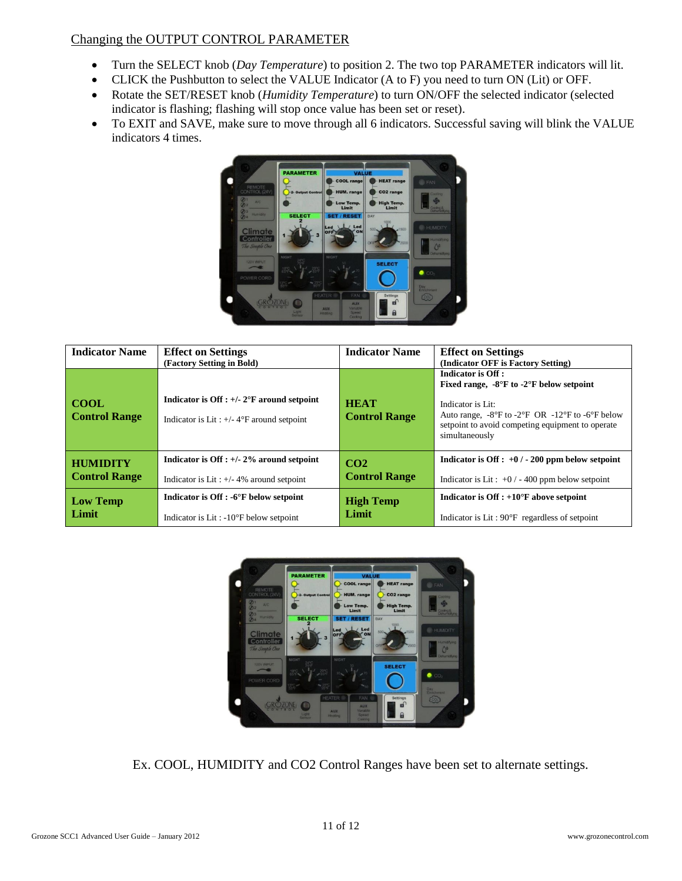## Changing the OUTPUT CONTROL PARAMETER

- Turn the SELECT knob (*Day Temperature*) to position 2. The two top PARAMETER indicators will lit.
- CLICK the Pushbutton to select the VALUE Indicator (A to F) you need to turn ON (Lit) or OFF.
- Rotate the SET/RESET knob (*Humidity Temperature*) to turn ON/OFF the selected indicator (selected indicator is flashing; flashing will stop once value has been set or reset).
- To EXIT and SAVE, make sure to move through all 6 indicators. Successful saving will blink the VALUE indicators 4 times.



| <b>Indicator Name</b>               | <b>Effect on Settings</b><br>(Factory Setting in Bold)                                                    | <b>Indicator Name</b>               | <b>Effect on Settings</b><br>(Indicator OFF is Factory Setting)                                                                                                                                                                                                          |
|-------------------------------------|-----------------------------------------------------------------------------------------------------------|-------------------------------------|--------------------------------------------------------------------------------------------------------------------------------------------------------------------------------------------------------------------------------------------------------------------------|
| <b>COOL</b><br><b>Control Range</b> | Indicator is Off : $+/- 2$ °F around setpoint<br>Indicator is Lit: $+/- 4$ <sup>o</sup> F around setpoint | <b>HEAT</b><br><b>Control Range</b> | Indicator is Off :<br>Fixed range, $-8^{\circ}$ F to $-2^{\circ}$ F below setpoint<br>Indicator is Lit:<br>Auto range, $-8^{\circ}$ F to $-2^{\circ}$ F OR $-12^{\circ}$ F to $-6^{\circ}$ F below<br>setpoint to avoid competing equipment to operate<br>simultaneously |
| <b>HUMIDITY</b>                     | Indicator is Off : $+/- 2\%$ around setpoint                                                              | CO <sub>2</sub>                     | Indicator is Off : $+0$ / - 200 ppm below setpoint                                                                                                                                                                                                                       |
| <b>Control Range</b>                | Indicator is Lit: $+/- 4\%$ around setpoint                                                               | <b>Control Range</b>                | Indicator is Lit: $+0$ / - 400 ppm below setpoint                                                                                                                                                                                                                        |
| <b>Low Temp</b>                     | Indicator is Off : -6°F below setpoint                                                                    | <b>High Temp</b>                    | Indicator is Off : $+10^{\circ}$ F above setpoint                                                                                                                                                                                                                        |
| Limit                               | Indicator is Lit: $-10^{\circ}$ F below setpoint                                                          | Limit                               | Indicator is Lit: $90^{\circ}$ F regardless of setpoint                                                                                                                                                                                                                  |



Ex. COOL, HUMIDITY and CO2 Control Ranges have been set to alternate settings.